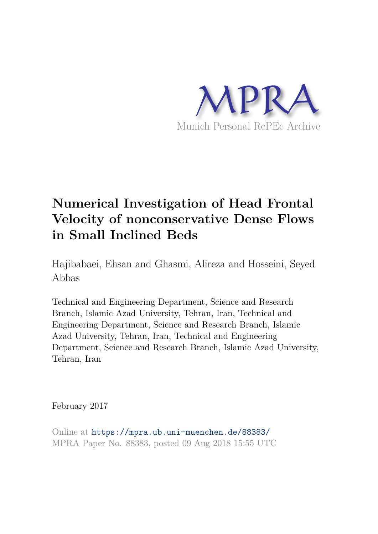

# **Numerical Investigation of Head Frontal Velocity of nonconservative Dense Flows in Small Inclined Beds**

Hajibabaei, Ehsan and Ghasmi, Alireza and Hosseini, Seyed Abbas

Technical and Engineering Department, Science and Research Branch, Islamic Azad University, Tehran, Iran, Technical and Engineering Department, Science and Research Branch, Islamic Azad University, Tehran, Iran, Technical and Engineering Department, Science and Research Branch, Islamic Azad University, Tehran, Iran

February 2017

Online at https://mpra.ub.uni-muenchen.de/88383/ MPRA Paper No. 88383, posted 09 Aug 2018 15:55 UTC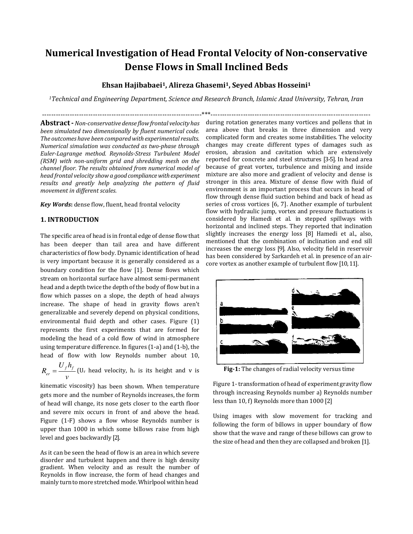# **Numerical Investigation of Head Frontal Velocity of Non‐conservative Dense Flows in Small Inclined Beds**

### **Ehsan Hajibabaei1, Alireza Ghasemi1, Seyed Abbas Hosseini<sup>1</sup>**

*<sup>1</sup>Technical and Engineering Department, Science and Research Branch, Islamic Azad University, Tehran, Iran*

---------------------------------------------------------------------\*\*\*---------------------------------------------------------------------

**Abstract ‐** *Non‐conservative dense flowfrontal velocityhas been simulated two dimensionally by fluent numerical code. The outcomes have been compared with experimental results. Numerical simulation was conducted as two‐phase through Euler‐Lagrange method. Reynolds‐Stress Turbulent Model (RSM) with non‐uniform grid and shredding mesh on the channel floor. The results obtained from numerical model of head frontal velocity show a good compliance with experiment results and greatly help analyzing the pattern of fluid movement in different scales.*

*Key Words***:** dense flow, fluent, head frontal velocity

### **1. INTRODUCTION**

The specific area of head is in frontal edge of dense flow that has been deeper than tail area and have different characteristics of flow body. Dynamic identification of head is very important because it is generally considered as a boundary condition for the flow [1]. Dense flows which stream on horizontal surface have almost semi-permanent head and a depth twice the depth of the body of flow but in a flow which passes on a slope, the depth of head always increase. The shape of head in gravity flows aren't generalizable and severely depend on physical conditions, environmental fluid depth and other cases. Figure (1) represents the first experiments that are formed for modeling the head of a cold flow of wind in atmosphere using temperature difference. In figures (1-a) and (1-b), the head of flow with low Reynolds number about 10,

*f f er*  $U_f h$ *R v*  $=\frac{U_f H_f}{U_r}$  (U<sub>r</sub> head velocity, h<sub>r</sub> is its height and v is

kinematic viscosity) has been shown. When temperature gets more and the number of Reynolds increases, the form of head will change, its nose gets closer to the earth floor and severe mix occurs in front of and above the head. Figure (1-F) shows a flow whose Reynolds number is upper than 1000 in which some billows raise from high level and goes backwardly [2].

As it can be seen the head of flow is an area in which severe disorder and turbulent happen and there is high density gradient. When velocity and as result the number of Reynolds in flow increase, the form of head changes and mainly turn to more stretched mode. Whirlpool within head

during rotation generates many vortices and pollens that in area above that breaks in three dimension and very complicated form and creates some instabilities. The velocity changes may create different types of damages such as erosion, abrasion and cavitation which are extensively reported for concrete and steel structures [3-5]. In head area because of great vortex, turbulence and mixing and inside mixture are also more and gradient of velocity and dense is stronger in this area. Mixture of dense flow with fluid of environment is an important process that occurs in head of flow through dense fluid suction behind and back of head as series of cross vortices [6, 7]. Another example of turbulent flow with hydraulic jump, vortex and pressure fluctuations is considered by Hamedi et al. in stepped spillways with horizontal and inclined steps. They reported that inclination slightly increases the energy loss [8] Hamedi et al., also, mentioned that the combination of inclination and end sill increases the energy loss [9]. Also, velocity field in reservoir has been considered by Sarkardeh et al. in presence of an aircore vortex as another example of turbulent flow [10, 11].



**Fig‐1:** The changes of radial velocity versus time

Figure 1- transformation of head of experiment gravity flow through increasing Reynolds number a) Reynolds number less than 10, f) Reynolds more than 1000 [2]

Using images with slow movement for tracking and following the form of billows in upper boundary of flow show that the wave and range of these billows can grow to the size of head and then they are collapsed and broken [1].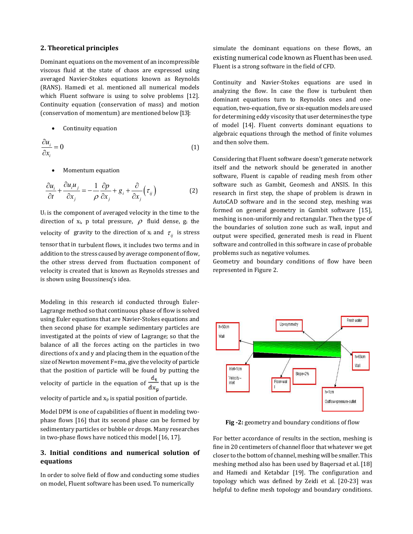#### **2. Theoretical principles**

Dominant equations on the movement of an incompressible viscous fluid at the state of chaos are expressed using averaged Navier-Stokes equations known as Reynolds (RANS). Hamedi et al. mentioned all numerical models which Fluent software is using to solve problems [12]. Continuity equation (conservation of mass) and motion (conservation of momentum) are mentioned below [13]:

Continuity equation

$$
\frac{\partial u_i}{\partial x_i} = 0 \tag{1}
$$

Momentum equation

$$
\frac{\partial u_i}{\partial t} + \frac{\partial u_i u_j}{\partial x_j} = -\frac{1}{\rho} \frac{\partial p}{\partial x_j} + g_i + \frac{\partial}{\partial x_j} (\tau_{ij})
$$
(2)

 $U_i$  is the component of averaged velocity in the time to the direction of  $x_i$ , p total pressure,  $\rho$  fluid dense,  $g_i$  the velocity of gravity to the direction of  $x_i$  and  $\tau_{ij}$  is stress tensor that in turbulent flows, it includes two terms and in addition to the stress caused by average component of flow, the other stress derved from fluctuation component of velocity is created that is known as Reynolds stresses and is shown using Boussinesq's idea.

Modeling in this research id conducted through Euler-Lagrange method so that continuous phase of flow is solved using Euler equations that are Navier-Stokes equations and then second phase for example sedimentary particles are investigated at the points of view of Lagrange; so that the balance of all the forces acting on the particles in two directions of x and y and placing them in the equation of the size of Newton movement F=ma, give the velocity of particle that the position of particle will be found by putting the velocity of particle in the equation of  $\frac{d_t}{dx_n}$  that up is the velocity of particle and  $x_p$  is spatial position of particle.

Model DPM is one of capabilities of fluent in modeling twophase flows [16] that its second phase can be formed by sedimentary particles or bubble or drops. Many researches in two-phase flows have noticed this model [16, 17].

#### **3. Initial conditions and numerical solution of equations**

In order to solve field of flow and conducting some studies on model, Fluent software has been used. To numerically

simulate the dominant equations on these flows, an existing numerical code known as Fluent has been used. Fluent is a strong software in the field of CFD.

Continuity and Navier-Stokes equations are used in analyzing the flow. In case the flow is turbulent then dominant equations turn to Reynolds ones and oneequation, two-equation, five or six-equation models are used for determining eddy viscosity that user determines the type of model [14]. Fluent converts dominant equations to algebraic equations through the method of finite volumes and then solve them.

Considering that Fluent software doesn't generate network itself and the network should be generated in another software, Fluent is capable of reading mesh from other software such as Gambit, Geomesh and ANSIS. In this research in first step, the shape of problem is drawn in AutoCAD software and in the second step, meshing was formed on general geometry in Gambit software [15], meshing is non-uniformly and rectangular. Then the type of the boundaries of solution zone such as wall, input and output were specified, generated mesh is read in Fluent software and controlled in this software in case of probable problems such as negative volumes.

Geometry and boundary conditions of flow have been represented in Figure 2.



Fig -2: geometry and boundary conditions of flow

For better accordance of results in the section, meshing is fine in 20 centimeters of channel floor that whatever we get closer to the bottom of channel, meshing will be smaller. This meshing method also has been used by Baqersad et al. [18] and Hamedi and Ketabdar [19]. The configuration and topology which was defined by Zeidi et al. [20-23] was helpful to define mesh topology and boundary conditions.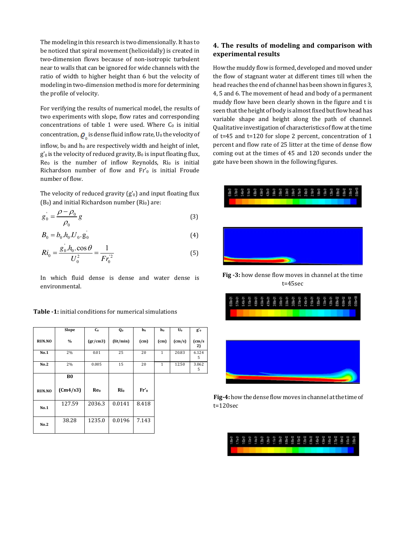The modeling in this research is two dimensionally. It has to be noticed that spiral movement (helicoidally) is created in two-dimension flows because of non-isotropic turbulent near to walls that can be ignored for wide channels with the ratio of width to higher height than 6 but the velocity of modeling in two-dimension method is more for determining the profile of velocity.

For verifying the results of numerical model, the results of two experiments with slope, flow rates and corresponding concentrations of table 1 were used. Where  $C_0$  is initial concentration,  $\mathbf{\varrho}_{_{0}}$  is dense fluid inflow rate, U $_{0}$  the velocity of inflow,  $b_0$  and  $h_0$  are respectively width and height of inlet,  $g'$ <sub>0</sub> is the velocity of reduced gravity,  $B_0$  is input floating flux, Re<sub>0</sub> is the number of inflow Reynolds, Ri<sub>0</sub> is initial Richardson number of flow and Fr'o is initial Froude number of flow.

The velocity of reduced gravity  $(g'_0)$  and input floating flux  $(B<sub>0</sub>)$  and initial Richardson number (Ri<sub>0</sub>) are:

$$
g_0 = \frac{\rho - \rho_0}{\rho_0} g \tag{3}
$$

$$
B_0 = b_0 . h_0 . U_0 . g_0^{'} \tag{4}
$$

$$
Ri_0 = \frac{g_0 h_0 \cdot \cos \theta}{U_0^2} = \frac{1}{Fr_0^2}
$$
 (5)

In which fluid dense is dense and water dense is environmental.

| <b>Table -1:</b> initial conditions for numerical simulations |
|---------------------------------------------------------------|
|---------------------------------------------------------------|

|               | Slope          | C <sub>0</sub>  | Q <sub>0</sub> | $\mathbf{b}_0$  | $h_0$        | $U_0$  | $g'_{0}$            |
|---------------|----------------|-----------------|----------------|-----------------|--------------|--------|---------------------|
| <b>RUN.NO</b> | $\frac{0}{0}$  | gr/cm3          | (lit/min)      | (cm)            | (cm)         | (cm/s) | $\text{cm/s}$<br>2) |
| No.1          | 2%             | 0.01            | 25             | 20              | $\mathbf{1}$ | 20.83  | 6.124<br>5          |
| No.2          | 2%             | 0.005           | 15             | 20              | $\mathbf{1}$ | 12.50  | 3.062<br>5          |
|               | B <sub>0</sub> |                 |                |                 |              |        |                     |
| <b>RUN.NO</b> | (Cm4/s3)       | Re <sub>0</sub> | $\rm Ri_0$     | Fr <sub>0</sub> |              |        |                     |
| No.1          | 127.59         | 2036.3          | 0.0141         | 8.418           |              |        |                     |
| No.2          | 38.28          | 1235.0          | 0.0196         | 7.143           |              |        |                     |

## **4. The results of modeling and comparison with experimental results**

How the muddy flow is formed, developed and moved under the flow of stagnant water at different times till when the head reaches the end of channel has been shown in figures 3, 4, 5 and 6. The movement of head and body of a permanent muddy flow have been clearly shown in the figure and t is seen that the height of body is almost fixed but flow head has variable shape and height along the path of channel. Qualitative investigation of characteristics of flow at the time of t=45 and t=120 for slope 2 percent, concentration of 1 percent and flow rate of 25 litter at the time of dense flow coming out at the times of 45 and 120 seconds under the gate have been shown in the following figures.



**Fig** -3: how dense flow moves in channel at the time t=45sec



**Fig‐4:** how the dense flow moves in channel at the time of t=120sec

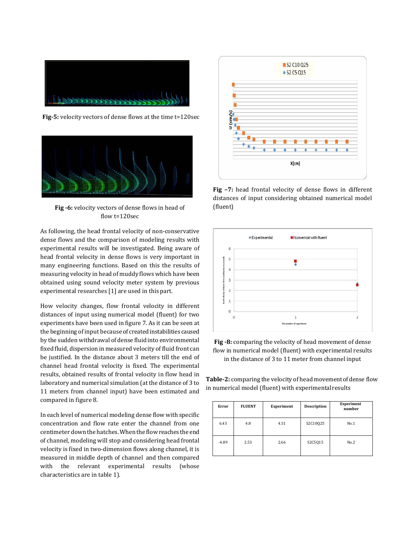

**Fig‐5:** velocity vectors of dense flows at the time t=120sec



Fig -6: velocity vectors of dense flows in head of flow t=120sec

As following, the head frontal velocity of non-conservative dense flows and the comparison of modeling results with experimental results will be investigated. Being aware of head frontal velocity in dense flows is very important in many engineering functions. Based on this the results of measuring velocity in head of muddy flows which have been obtained using sound velocity meter system by previous experimental researches [1] are used in this part.

How velocity changes, flow frontal velocity in different distances of input using numerical model (fluent) for two experiments have been used in figure 7. As it can be seen at the beginning of input because of created instabilities caused by the sudden withdrawal of dense fluid into environmental fixed fluid, dispersion in measured velocity of fluid front can be justified. In the distance about 3 meters till the end of channel head frontal velocity is fixed. The experimental results, obtained results of frontal velocity in flow head in laboratory and numerical simulation (at the distance of 3 to 11 meters from channel input) have been estimated and compared in figure 8.

In each level of numerical modeling dense flow with specific concentration and flow rate enter the channel from one centimeter down the hatches. When the flow reaches the end of channel, modeling will stop and considering head frontal velocity is fixed in two-dimension flows along channel, it is measured in middle depth of channel and then compared with the relevant experimental results (whose characteristics are in table 1).



**Fig –7:** head frontal velocity of dense flows in different distances of input considering obtained numerical model (fluent)



Fig -8: comparing the velocity of head movement of dense flow in numerical model (fluent) with experimental results in the distance of 3 to 11 meter from channel input

**Table‐2:** comparing the velocity of head movement of dense flow in numerical model (fluent) with experimental results

| Error   | <b>FLUENT</b> | Experiment | Description | Experiment<br>number |
|---------|---------------|------------|-------------|----------------------|
| 6.43    | 4.8           | 4.51       | S2C10025    | No.1                 |
| $-4.89$ | 2.53          | 2.66       | S2C5015     | No.2                 |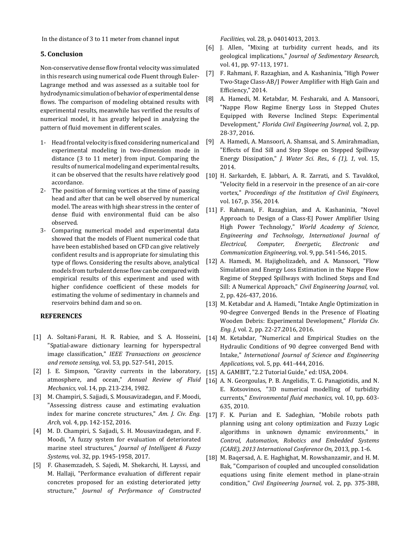In the distance of 3 to 11 meter from channel input

#### **5. Conclusion**

Non-conservative dense flow frontal velocity was simulated in this research using numerical code Fluent through Euler-Lagrange method and was assessed as a suitable tool for hydrodynamic simulation of behavior of experimental dense flows. The comparison of modeling obtained results with experimental results, meanwhile has verified the results of numerical model, it has greatly helped in analyzing the pattern of fluid movement in different scales.

- 1- Head frontal velocity is fixed considering numerical and experimental modeling in two-dimension mode in distance (3 to 11 meter) from input. Comparing the results of numerical modeling and experimental results, it can be observed that the results have relatively good accordance.
- 2- The position of forming vortices at the time of passing head and after that can be well observed by numerical model. The areas with high shear stress in the center of dense fluid with environmental fluid can be also observed.
- 3- Comparing numerical model and experimental data showed that the models of Fluent numerical code that have been established based on CFD can give relatively confident results and is appropriate for simulating this type of flows. Considering the results above, analytical models from turbulent dense flow can be compared with empirical results of this experiment and used with higher confidence coefficient of these models for estimating the volume of sedimentary in channels and reservoirs behind dam and so on.

#### **REFERENCES**

- "Spatial-aware dictionary learning for hyperspectral image classification," *IEEE Transactions on geoscience and remote sensing,* vol. 53, pp. 527-541, 2015.
- [2] J. E. Simpson, "Gravity currents in the laboratory, atmosphere, and ocean," *Annual Review of Fluid Mechanics,* vol. 14, pp. 213-234, 1982.
- [3] M. Champiri, S. Sajjadi, S. Mousavizadegan, and F. Moodi, "Assessing distress cause and estimating evaluation index for marine concrete structures," *Am. J. Civ. Eng. Arch,* vol. 4, pp. 142-152, 2016.
- [4] M. D. Champiri, S. Sajjadi, S. H. Mousavizadegan, and F. Moodi, "A fuzzy system for evaluation of deteriorated marine steel structures," *Journal of Intelligent & Fuzzy Systems,* vol. 32, pp. 1945-1958, 2017.
- [5] F. Ghasemzadeh, S. Sajedi, M. Shekarchi, H. Layssi, and M. Hallaji, "Performance evaluation of different repair concretes proposed for an existing deteriorated jetty structure," *Journal of Performance of Constructed*

*Facilities,* vol. 28, p. 04014013, 2013.

- [6] J. Allen, "Mixing at turbidity current heads, and its geological implications," *Journal of Sedimentary Research,* vol. 41, pp. 97-113, 1971.
- [7] F. Rahmani, F. Razaghian, and A. Kashaninia, "High Power Two-Stage Class-AB/J Power Amplifier with High Gain and Efficiency," 2014.
- [8] A. Hamedi, M. Ketabdar, M. Fesharaki, and A. Mansoori, "Nappe Flow Regime Energy Loss in Stepped Chutes Equipped with Reverse Inclined Steps: Experimental Development," *Florida Civil Engineering Journal,* vol. 2, pp. 28-37, 2016.
- [9] A. Hamedi, A. Mansoori, A. Shamsai, and S. Amirahmadian, "Effects of End Sill and Step Slope on Stepped Spillway Energy Dissipation," *J. Water Sci. Res., 6 (1), 1,* vol. 15, 2014.
- [10] H. Sarkardeh, E. Jabbari, A. R. Zarrati, and S. Tavakkol, "Velocity field in a reservoir in the presence of an air-core vortex," *Proceedings of the Institution of Civil Engineers,* vol. 167, p. 356, 2014.
- [11] F. Rahmani, F. Razaghian, and A. Kashaninia, "Novel Approach to Design of a Class-EJ Power Amplifier Using High Power Technology," *World Academy of Science, Engineering and Technology, International Journal of Electrical, Computer, Energetic, Electronic and Communication Engineering,* vol. 9, pp. 541-546, 2015.
- [12] A. Hamedi, M. Hajigholizadeh, and A. Mansoori, "Flow Simulation and Energy Loss Estimation in the Nappe Flow Regime of Stepped Spillways with Inclined Steps and End Sill: A Numerical Approach," *Civil Engineering Journal,* vol. 2, pp. 426-437, 2016.
- [13] M. Ketabdar and A. Hamedi, "Intake Angle Optimization in 90-degree Converged Bends in the Presence of Floating Wooden Debris: Experimental Development," *Florida Civ. Eng. J,* vol. 2, pp. 22-27.2016, 2016.
- [1] A. Soltani-Farani, H. R. Rabiee, and S. A. Hosseini, [14] M. Ketabdar, "Numerical and Empirical Studies on the Hydraulic Conditions of 90 degree converged Bend with Intake," *International Journal of Science and Engineering Applications,* vol. 5, pp. 441-444, 2016.
	- [15] A. GAMBIT, "2.2 Tutorial Guide," ed: USA, 2004.
	- [16] A. N. Georgoulas, P. B. Angelidis, T. G. Panagiotidis, and N. E. Kotsovinos, "3D numerical modelling of turbidity currents," *Environmental fluid mechanics,* vol. 10, pp. 603- 635, 2010.
	- [17] F. K. Purian and E. Sadeghian, "Mobile robots path planning using ant colony optimization and Fuzzy Logic algorithms in unknown dynamic environments," in *Control, Automation, Robotics and Embedded Systems (CARE), 2013 International Conference On*, 2013, pp. 1-6.
	- [18] M. Baqersad, A. E. Haghighat, M. Rowshanzamir, and H. M. Bak, "Comparison of coupled and uncoupled consolidation equations using finite element method in plane-strain condition," *Civil Engineering Journal,* vol. 2, pp. 375-388,